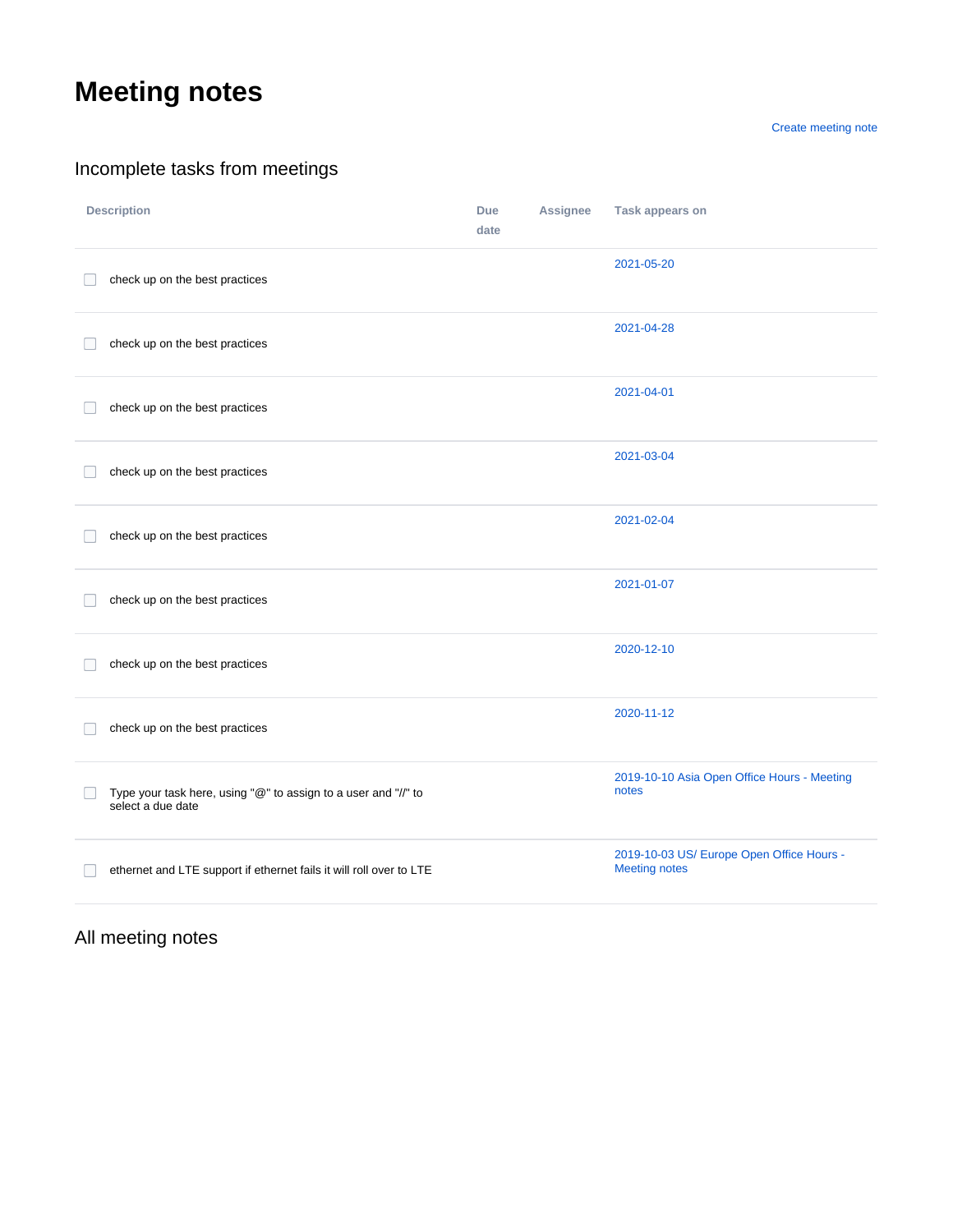## **Meeting notes**

[Create meeting note](https://wiki.lfedge.org?createDialogSpaceKey=EVE&createDialogBlueprintId=3ac29692-67d3-4690-bb63-2fee053853eb)

## Incomplete tasks from meetings

| <b>Description</b>                                                                  | <b>Due</b><br>date | Assignee | Task appears on                                                   |
|-------------------------------------------------------------------------------------|--------------------|----------|-------------------------------------------------------------------|
| check up on the best practices                                                      |                    |          | 2021-05-20                                                        |
| check up on the best practices                                                      |                    |          | 2021-04-28                                                        |
| check up on the best practices                                                      |                    |          | 2021-04-01                                                        |
| check up on the best practices                                                      |                    |          | 2021-03-04                                                        |
| check up on the best practices                                                      |                    |          | 2021-02-04                                                        |
| check up on the best practices                                                      |                    |          | 2021-01-07                                                        |
| check up on the best practices                                                      |                    |          | 2020-12-10                                                        |
| check up on the best practices                                                      |                    |          | 2020-11-12                                                        |
| Type your task here, using "@" to assign to a user and "//" to<br>select a due date |                    |          | 2019-10-10 Asia Open Office Hours - Meeting<br>notes              |
| ethernet and LTE support if ethernet fails it will roll over to LTE                 |                    |          | 2019-10-03 US/ Europe Open Office Hours -<br><b>Meeting notes</b> |

All meeting notes